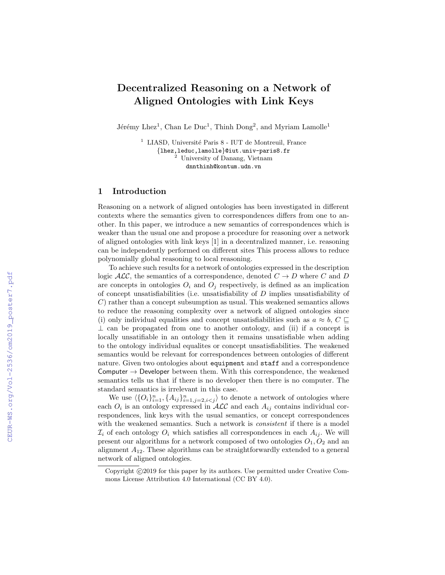## Decentralized Reasoning on a Network of Aligned Ontologies with Link Keys

Jérémy Lhez<sup>1</sup>, Chan Le Duc<sup>1</sup>, Thinh Dong<sup>2</sup>, and Myriam Lamolle<sup>1</sup>

<sup>1</sup> LIASD, Université Paris 8 - IUT de Montreuil, France {lhez,leduc,lamolle}@iut.univ-paris8.fr <sup>2</sup> University of Danang, Vietnam dnnthinh@kontum.udn.vn

## 1 Introduction

Reasoning on a network of aligned ontologies has been investigated in different contexts where the semantics given to correspondences differs from one to another. In this paper, we introduce a new semantics of correspondences which is weaker than the usual one and propose a procedure for reasoning over a network of aligned ontologies with link keys [1] in a decentralized manner, i.e. reasoning can be independently performed on different sites This process allows to reduce polynomially global reasoning to local reasoning.

To achieve such results for a network of ontologies expressed in the description logic  $\mathcal{ALC}$ , the semantics of a correspondence, denoted  $C \rightarrow D$  where C and D are concepts in ontologies  $O_i$  and  $O_j$  respectively, is defined as an implication of concept unsatisfiabilities (i.e. unsatisfiability of D implies unsatisfiability of C) rather than a concept subsumption as usual. This weakened semantics allows to reduce the reasoning complexity over a network of aligned ontologies since (i) only individual equalities and concept unsatisfiabilities such as  $a \approx b$ ,  $C \sqsubseteq$  $\perp$  can be propagated from one to another ontology, and (ii) if a concept is locally unsatifiable in an ontology then it remains unsatisfiable when adding to the ontology individual equalites or concept unsatisfiabilities. The weakened semantics would be relevant for correspondences between ontologies of different nature. Given two ontologies about equipment and staff and a correspondence Computer  $\rightarrow$  Developer between them. With this correspondence, the weakened semantics tells us that if there is no developer then there is no computer. The standard semantics is irrelevant in this case.

We use  $\langle \{O_i\}_{i=1}^n, \{A_{ij}\}_{i=1,j=2,i\leq j}^n \rangle$  to denote a network of ontologies where each  $O_i$  is an ontology expressed in  $\mathcal{ALC}$  and each  $A_{ij}$  contains individual correspondences, link keys with the usual semantics, or concept correspondences with the weakened semantics. Such a network is *consistent* if there is a model  $\mathcal{I}_i$  of each ontology  $O_i$  which satisfies all correspondences in each  $A_{ij}$ . We will present our algorithms for a network composed of two ontologies  $O_1$ ,  $O_2$  and an alignment  $A_{12}$ . These algorithms can be straightforwardly extended to a general network of aligned ontologies.

Copyright  $\odot$ 2019 for this paper by its authors. Use permitted under Creative Commons License Attribution 4.0 International (CC BY 4.0).